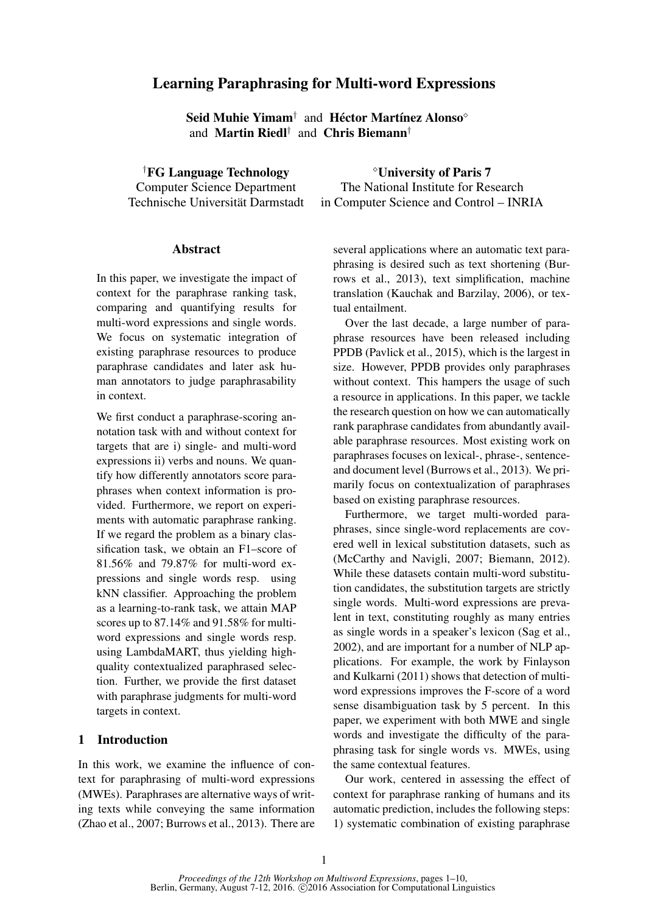# Learning Paraphrasing for Multi-word Expressions

Seid Muhie Yimam† and Héctor Martínez Alonso $^\circ$ and Martin Riedl† and Chris Biemann†

†FG Language Technology Computer Science Department

Technische Universität Darmstadt

## **Abstract**

In this paper, we investigate the impact of context for the paraphrase ranking task, comparing and quantifying results for multi-word expressions and single words. We focus on systematic integration of existing paraphrase resources to produce paraphrase candidates and later ask human annotators to judge paraphrasability in context.

We first conduct a paraphrase-scoring annotation task with and without context for targets that are i) single- and multi-word expressions ii) verbs and nouns. We quantify how differently annotators score paraphrases when context information is provided. Furthermore, we report on experiments with automatic paraphrase ranking. If we regard the problem as a binary classification task, we obtain an F1–score of 81.56% and 79.87% for multi-word expressions and single words resp. using kNN classifier. Approaching the problem as a learning-to-rank task, we attain MAP scores up to 87.14% and 91.58% for multiword expressions and single words resp. using LambdaMART, thus yielding highquality contextualized paraphrased selection. Further, we provide the first dataset with paraphrase judgments for multi-word targets in context.

## 1 Introduction

In this work, we examine the influence of context for paraphrasing of multi-word expressions (MWEs). Paraphrases are alternative ways of writing texts while conveying the same information (Zhao et al., 2007; Burrows et al., 2013). There are

University of Paris 7 The National Institute for Research in Computer Science and Control – INRIA

several applications where an automatic text paraphrasing is desired such as text shortening (Burrows et al., 2013), text simplification, machine translation (Kauchak and Barzilay, 2006), or textual entailment.

Over the last decade, a large number of paraphrase resources have been released including PPDB (Pavlick et al., 2015), which is the largest in size. However, PPDB provides only paraphrases without context. This hampers the usage of such a resource in applications. In this paper, we tackle the research question on how we can automatically rank paraphrase candidates from abundantly available paraphrase resources. Most existing work on paraphrases focuses on lexical-, phrase-, sentenceand document level (Burrows et al., 2013). We primarily focus on contextualization of paraphrases based on existing paraphrase resources.

Furthermore, we target multi-worded paraphrases, since single-word replacements are covered well in lexical substitution datasets, such as (McCarthy and Navigli, 2007; Biemann, 2012). While these datasets contain multi-word substitution candidates, the substitution targets are strictly single words. Multi-word expressions are prevalent in text, constituting roughly as many entries as single words in a speaker's lexicon (Sag et al., 2002), and are important for a number of NLP applications. For example, the work by Finlayson and Kulkarni (2011) shows that detection of multiword expressions improves the F-score of a word sense disambiguation task by 5 percent. In this paper, we experiment with both MWE and single words and investigate the difficulty of the paraphrasing task for single words vs. MWEs, using the same contextual features.

Our work, centered in assessing the effect of context for paraphrase ranking of humans and its automatic prediction, includes the following steps: 1) systematic combination of existing paraphrase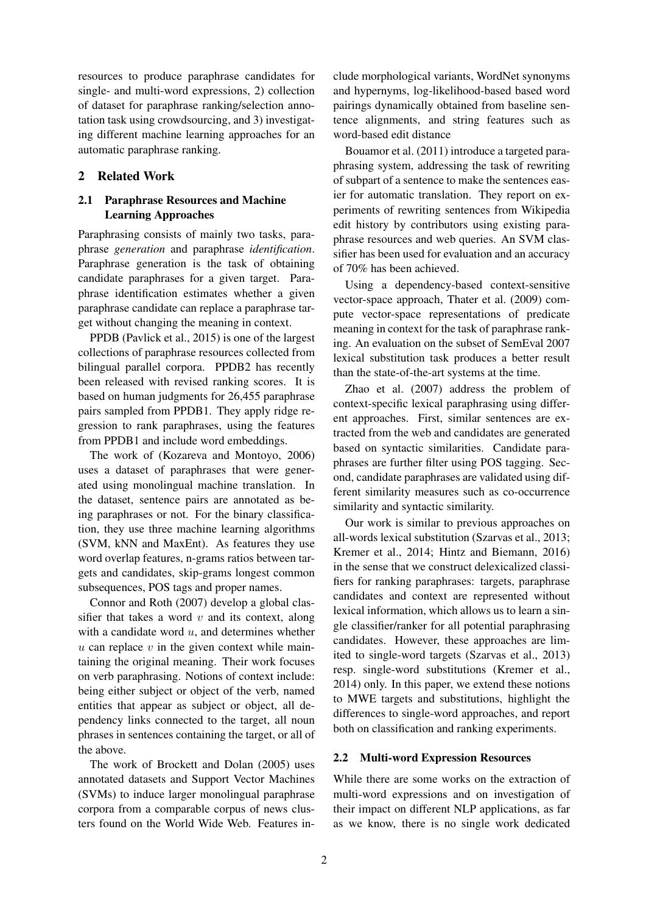resources to produce paraphrase candidates for single- and multi-word expressions, 2) collection of dataset for paraphrase ranking/selection annotation task using crowdsourcing, and 3) investigating different machine learning approaches for an automatic paraphrase ranking.

## 2 Related Work

## 2.1 Paraphrase Resources and Machine Learning Approaches

Paraphrasing consists of mainly two tasks, paraphrase *generation* and paraphrase *identification*. Paraphrase generation is the task of obtaining candidate paraphrases for a given target. Paraphrase identification estimates whether a given paraphrase candidate can replace a paraphrase target without changing the meaning in context.

PPDB (Pavlick et al., 2015) is one of the largest collections of paraphrase resources collected from bilingual parallel corpora. PPDB2 has recently been released with revised ranking scores. It is based on human judgments for 26,455 paraphrase pairs sampled from PPDB1. They apply ridge regression to rank paraphrases, using the features from PPDB1 and include word embeddings.

The work of (Kozareva and Montoyo, 2006) uses a dataset of paraphrases that were generated using monolingual machine translation. In the dataset, sentence pairs are annotated as being paraphrases or not. For the binary classification, they use three machine learning algorithms (SVM, kNN and MaxEnt). As features they use word overlap features, n-grams ratios between targets and candidates, skip-grams longest common subsequences, POS tags and proper names.

Connor and Roth (2007) develop a global classifier that takes a word  $v$  and its context, along with a candidate word  $u$ , and determines whether  $u$  can replace  $v$  in the given context while maintaining the original meaning. Their work focuses on verb paraphrasing. Notions of context include: being either subject or object of the verb, named entities that appear as subject or object, all dependency links connected to the target, all noun phrases in sentences containing the target, or all of the above.

The work of Brockett and Dolan (2005) uses annotated datasets and Support Vector Machines (SVMs) to induce larger monolingual paraphrase corpora from a comparable corpus of news clusters found on the World Wide Web. Features in-

clude morphological variants, WordNet synonyms and hypernyms, log-likelihood-based based word pairings dynamically obtained from baseline sentence alignments, and string features such as word-based edit distance

Bouamor et al. (2011) introduce a targeted paraphrasing system, addressing the task of rewriting of subpart of a sentence to make the sentences easier for automatic translation. They report on experiments of rewriting sentences from Wikipedia edit history by contributors using existing paraphrase resources and web queries. An SVM classifier has been used for evaluation and an accuracy of 70% has been achieved.

Using a dependency-based context-sensitive vector-space approach, Thater et al. (2009) compute vector-space representations of predicate meaning in context for the task of paraphrase ranking. An evaluation on the subset of SemEval 2007 lexical substitution task produces a better result than the state-of-the-art systems at the time.

Zhao et al. (2007) address the problem of context-specific lexical paraphrasing using different approaches. First, similar sentences are extracted from the web and candidates are generated based on syntactic similarities. Candidate paraphrases are further filter using POS tagging. Second, candidate paraphrases are validated using different similarity measures such as co-occurrence similarity and syntactic similarity.

Our work is similar to previous approaches on all-words lexical substitution (Szarvas et al., 2013; Kremer et al., 2014; Hintz and Biemann, 2016) in the sense that we construct delexicalized classifiers for ranking paraphrases: targets, paraphrase candidates and context are represented without lexical information, which allows us to learn a single classifier/ranker for all potential paraphrasing candidates. However, these approaches are limited to single-word targets (Szarvas et al., 2013) resp. single-word substitutions (Kremer et al., 2014) only. In this paper, we extend these notions to MWE targets and substitutions, highlight the differences to single-word approaches, and report both on classification and ranking experiments.

#### 2.2 Multi-word Expression Resources

While there are some works on the extraction of multi-word expressions and on investigation of their impact on different NLP applications, as far as we know, there is no single work dedicated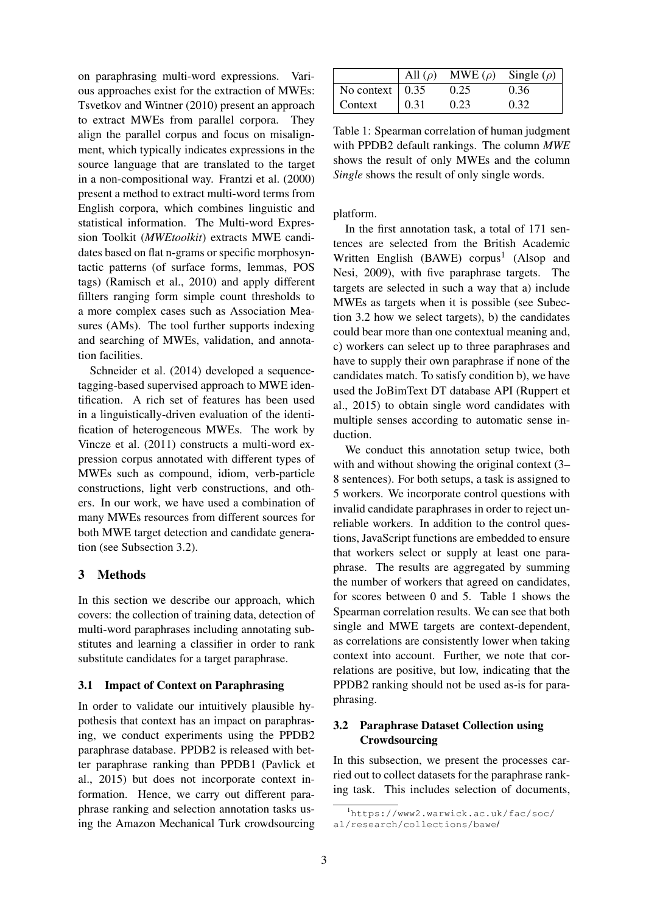on paraphrasing multi-word expressions. Various approaches exist for the extraction of MWEs: Tsvetkov and Wintner (2010) present an approach to extract MWEs from parallel corpora. They align the parallel corpus and focus on misalignment, which typically indicates expressions in the source language that are translated to the target in a non-compositional way. Frantzi et al. (2000) present a method to extract multi-word terms from English corpora, which combines linguistic and statistical information. The Multi-word Expression Toolkit (*MWEtoolkit*) extracts MWE candidates based on flat n-grams or specific morphosyntactic patterns (of surface forms, lemmas, POS tags) (Ramisch et al., 2010) and apply different fillters ranging form simple count thresholds to a more complex cases such as Association Measures (AMs). The tool further supports indexing and searching of MWEs, validation, and annotation facilities.

Schneider et al. (2014) developed a sequencetagging-based supervised approach to MWE identification. A rich set of features has been used in a linguistically-driven evaluation of the identification of heterogeneous MWEs. The work by Vincze et al. (2011) constructs a multi-word expression corpus annotated with different types of MWEs such as compound, idiom, verb-particle constructions, light verb constructions, and others. In our work, we have used a combination of many MWEs resources from different sources for both MWE target detection and candidate generation (see Subsection 3.2).

## 3 Methods

In this section we describe our approach, which covers: the collection of training data, detection of multi-word paraphrases including annotating substitutes and learning a classifier in order to rank substitute candidates for a target paraphrase.

## 3.1 Impact of Context on Paraphrasing

In order to validate our intuitively plausible hypothesis that context has an impact on paraphrasing, we conduct experiments using the PPDB2 paraphrase database. PPDB2 is released with better paraphrase ranking than PPDB1 (Pavlick et al., 2015) but does not incorporate context information. Hence, we carry out different paraphrase ranking and selection annotation tasks using the Amazon Mechanical Turk crowdsourcing

|                               | All $(\rho)$ | $MWE(\rho)$ | Single $(\rho)$ |
|-------------------------------|--------------|-------------|-----------------|
| No context $\vert 0.35 \vert$ |              | 0.25        | 0.36            |
| Context                       | $\mid$ 0.31  | 0.23        | 0.32            |

Table 1: Spearman correlation of human judgment with PPDB2 default rankings. The column *MWE* shows the result of only MWEs and the column *Single* shows the result of only single words.

platform.

In the first annotation task, a total of 171 sentences are selected from the British Academic Written English (BAWE) corpus<sup>1</sup> (Alsop and Nesi, 2009), with five paraphrase targets. The targets are selected in such a way that a) include MWEs as targets when it is possible (see Subection 3.2 how we select targets), b) the candidates could bear more than one contextual meaning and, c) workers can select up to three paraphrases and have to supply their own paraphrase if none of the candidates match. To satisfy condition b), we have used the JoBimText DT database API (Ruppert et al., 2015) to obtain single word candidates with multiple senses according to automatic sense induction.

We conduct this annotation setup twice, both with and without showing the original context  $(3-$ 8 sentences). For both setups, a task is assigned to 5 workers. We incorporate control questions with invalid candidate paraphrases in order to reject unreliable workers. In addition to the control questions, JavaScript functions are embedded to ensure that workers select or supply at least one paraphrase. The results are aggregated by summing the number of workers that agreed on candidates, for scores between 0 and 5. Table 1 shows the Spearman correlation results. We can see that both single and MWE targets are context-dependent, as correlations are consistently lower when taking context into account. Further, we note that correlations are positive, but low, indicating that the PPDB2 ranking should not be used as-is for paraphrasing.

# 3.2 Paraphrase Dataset Collection using Crowdsourcing

In this subsection, we present the processes carried out to collect datasets for the paraphrase ranking task. This includes selection of documents,

<sup>&</sup>lt;sup>1</sup>https://www2.warwick.ac.uk/fac/soc/ al/research/collections/bawe/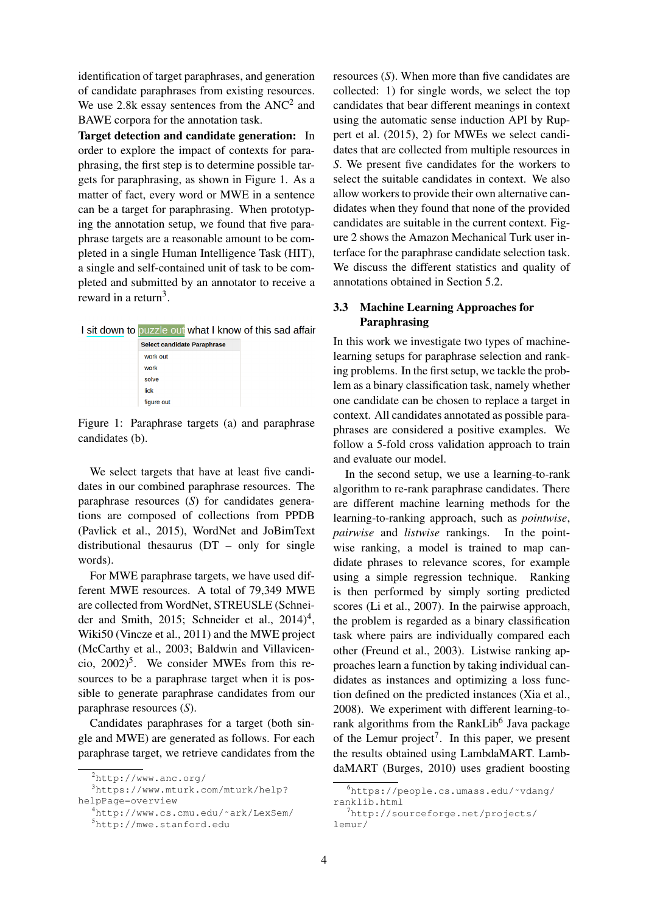identification of target paraphrases, and generation of candidate paraphrases from existing resources. We use 2.8k essay sentences from the  $\text{ANC}^2$  and BAWE corpora for the annotation task.

Target detection and candidate generation: In order to explore the impact of contexts for paraphrasing, the first step is to determine possible targets for paraphrasing, as shown in Figure 1. As a matter of fact, every word or MWE in a sentence can be a target for paraphrasing. When prototyping the annotation setup, we found that five paraphrase targets are a reasonable amount to be completed in a single Human Intelligence Task (HIT), a single and self-contained unit of task to be completed and submitted by an annotator to receive a reward in a return<sup>3</sup>.

| I sit down to puzzle out what I know of this sad affair |  |
|---------------------------------------------------------|--|
| <b>Select candidate Paraphrase</b>                      |  |
| work out                                                |  |
| work                                                    |  |
| solve                                                   |  |
| lick                                                    |  |
| figure out                                              |  |

Figure 1: Paraphrase targets (a) and paraphrase candidates (b).

We select targets that have at least five candidates in our combined paraphrase resources. The paraphrase resources (*S*) for candidates generations are composed of collections from PPDB (Pavlick et al., 2015), WordNet and JoBimText distributional thesaurus (DT – only for single words).

For MWE paraphrase targets, we have used different MWE resources. A total of 79,349 MWE are collected from WordNet, STREUSLE (Schneider and Smith, 2015; Schneider et al., 2014)<sup>4</sup>, Wiki50 (Vincze et al., 2011) and the MWE project (McCarthy et al., 2003; Baldwin and Villavicencio,  $2002$ <sup>5</sup>. We consider MWEs from this resources to be a paraphrase target when it is possible to generate paraphrase candidates from our paraphrase resources (*S*).

Candidates paraphrases for a target (both single and MWE) are generated as follows. For each paraphrase target, we retrieve candidates from the

<sup>3</sup>https://www.mturk.com/mturk/help? helpPage=overview

resources (*S*). When more than five candidates are collected: 1) for single words, we select the top candidates that bear different meanings in context using the automatic sense induction API by Ruppert et al. (2015), 2) for MWEs we select candidates that are collected from multiple resources in *S*. We present five candidates for the workers to select the suitable candidates in context. We also allow workers to provide their own alternative candidates when they found that none of the provided candidates are suitable in the current context. Figure 2 shows the Amazon Mechanical Turk user interface for the paraphrase candidate selection task. We discuss the different statistics and quality of annotations obtained in Section 5.2.

## 3.3 Machine Learning Approaches for Paraphrasing

In this work we investigate two types of machinelearning setups for paraphrase selection and ranking problems. In the first setup, we tackle the problem as a binary classification task, namely whether one candidate can be chosen to replace a target in context. All candidates annotated as possible paraphrases are considered a positive examples. We follow a 5-fold cross validation approach to train and evaluate our model.

In the second setup, we use a learning-to-rank algorithm to re-rank paraphrase candidates. There are different machine learning methods for the learning-to-ranking approach, such as *pointwise*, *pairwise* and *listwise* rankings. In the pointwise ranking, a model is trained to map candidate phrases to relevance scores, for example using a simple regression technique. Ranking is then performed by simply sorting predicted scores (Li et al., 2007). In the pairwise approach, the problem is regarded as a binary classification task where pairs are individually compared each other (Freund et al., 2003). Listwise ranking approaches learn a function by taking individual candidates as instances and optimizing a loss function defined on the predicted instances (Xia et al., 2008). We experiment with different learning-torank algorithms from the RankLib<sup>6</sup> Java package of the Lemur project<sup>7</sup>. In this paper, we present the results obtained using LambdaMART. LambdaMART (Burges, 2010) uses gradient boosting

 $^{2}$ http://www.anc.org/

<sup>4</sup>http://www.cs.cmu.edu/˜ark/LexSem/ <sup>5</sup>http://mwe.stanford.edu

<sup>6</sup>https://people.cs.umass.edu/˜vdang/ ranklib.html

<sup>7</sup>http://sourceforge.net/projects/ lemur/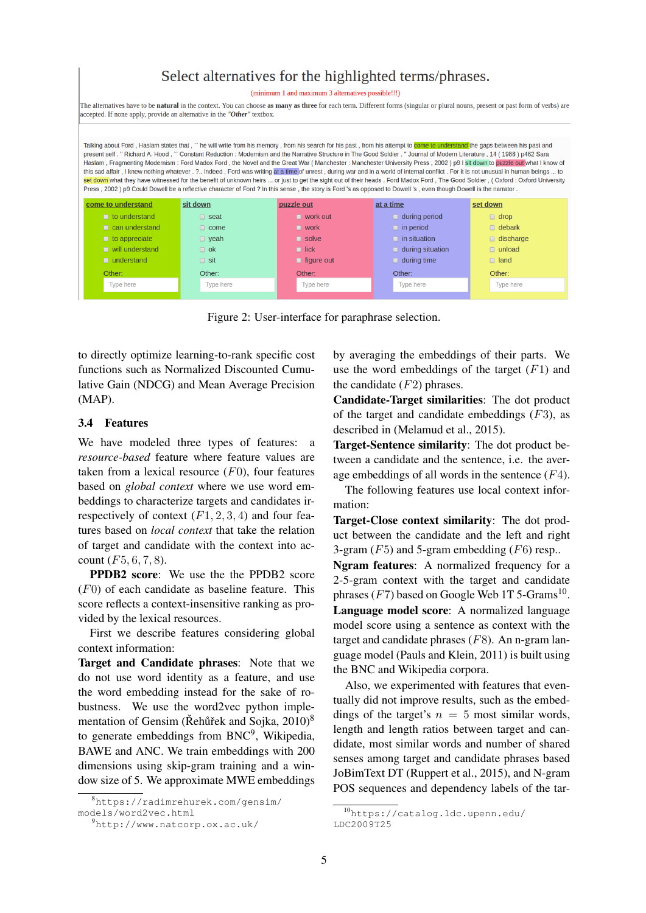# Select alternatives for the highlighted terms/phrases.

|  |  | inimum 1 and maximum 3 alternatives possible!!!) |  |
|--|--|--------------------------------------------------|--|
|  |  |                                                  |  |

The alternatives have to be natural in the context. You can choose as many as three for each term. Different forms (singular or plural nouns, present or past form of verbs) are accepted. If none apply, provide an alternative in the "Other" textbox

Talking about Ford, Haslam states that, " he will write from his memory, from his search for his past, from his attempt to cor and the gaps between his past and present self. " Richard A. Hood. " Constant Reduction: Modernism and the Narrative Structure in The Good Soldier. " Journal of Modern Literature, 14 (1988) p462 Sara Haslam, Fragmenting Modernism: Ford Madox Ford, the Novel and the Great War (Manchester: Manchester University Press, 2002) p9 I sit down to puzzle out what I know of this sad affair. I knew nothing whatever . ?.. Indeed . Ford was writing at a time of unrest . during war and in a world of internal conflict. For it is not unusual in human beings ... to set down what they have witnessed for the benefit of unknown heirs ... or just to get the sight out of their heads . Ford Madox Ford , The Good Soldier , ( Oxford : Oxford University Press . 2002 ) p9 Could Dowell be a reflective character of Ford ? In this sense . the story is Ford 's as opposed to Dowell 's , even though Dowell is the narrator come to understand sit down puzzle out at a time set down  $\blacksquare$  to understand  $\Box$  seat  $\Box$  during period  $\Box$  dron  $\blacksquare$  work out  $\Box$  can understand  $\Box$  come  $\blacksquare$  work  $\Box$  in period  $\Box$  debark  $\Box$  yeah  $\blacksquare$  to appreciate  $\Box$  solve  $\Box$  in situation  $\Box$  discharge  $\blacksquare$  will understand during situation  $\Box$  ok lick  $\Box$  unload **EL understand**  $\Box$  sit  $\Box$  land figure out  $\Box$  during time Other: Other: Other: Other: Other: Type here Type here **Type here** Type here Type here

Figure 2: User-interface for paraphrase selection.

to directly optimize learning-to-rank specific cost functions such as Normalized Discounted Cumulative Gain (NDCG) and Mean Average Precision (MAP).

#### 3.4 Features

We have modeled three types of features: a *resource-based* feature where feature values are taken from a lexical resource  $(F0)$ , four features based on *global context* where we use word embeddings to characterize targets and candidates irrespectively of context  $(F1, 2, 3, 4)$  and four features based on *local context* that take the relation of target and candidate with the context into account  $(F5, 6, 7, 8)$ .

PPDB2 score: We use the the PPDB2 score  $(F0)$  of each candidate as baseline feature. This score reflects a context-insensitive ranking as provided by the lexical resources.

First we describe features considering global context information:

Target and Candidate phrases: Note that we do not use word identity as a feature, and use the word embedding instead for the sake of robustness. We use the word2vec python implementation of Gensim (Rehũřek and Sojka,  $2010$ )<sup>8</sup> to generate embeddings from BNC<sup>9</sup>, Wikipedia, BAWE and ANC. We train embeddings with 200 dimensions using skip-gram training and a window size of 5. We approximate MWE embeddings by averaging the embeddings of their parts. We use the word embeddings of the target  $(F1)$  and the candidate  $(F2)$  phrases.

Candidate-Target similarities: The dot product of the target and candidate embeddings  $(F3)$ , as described in (Melamud et al., 2015).

Target-Sentence similarity: The dot product between a candidate and the sentence, i.e. the average embeddings of all words in the sentence  $(F4)$ .

The following features use local context information:

Target-Close context similarity: The dot product between the candidate and the left and right 3-gram  $(F5)$  and 5-gram embedding  $(F6)$  resp..

Ngram features: A normalized frequency for a 2-5-gram context with the target and candidate phrases  $(F7)$  based on Google Web 1T 5-Grams<sup>10</sup>. Language model score: A normalized language model score using a sentence as context with the target and candidate phrases  $(F8)$ . An n-gram language model (Pauls and Klein, 2011) is built using the BNC and Wikipedia corpora.

Also, we experimented with features that eventually did not improve results, such as the embeddings of the target's  $n = 5$  most similar words, length and length ratios between target and candidate, most similar words and number of shared senses among target and candidate phrases based JoBimText DT (Ruppert et al., 2015), and N-gram POS sequences and dependency labels of the tar-

<sup>8</sup>https://radimrehurek.com/gensim/ models/word2vec.html

<sup>9</sup>http://www.natcorp.ox.ac.uk/

<sup>10</sup>https://catalog.ldc.upenn.edu/ LDC2009T25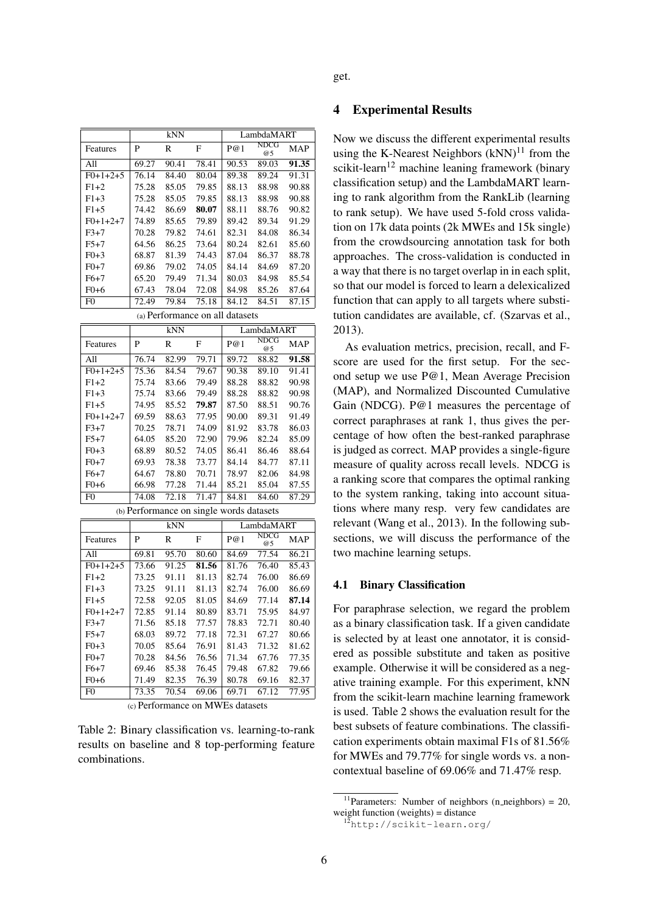|                                 | kNN   |       |       | LambdaMART |                   |       |  |
|---------------------------------|-------|-------|-------|------------|-------------------|-------|--|
| Features                        | P     | R     | F     | P@1        | <b>NDCG</b><br>@5 | MAP   |  |
| All                             | 69.27 | 90.41 | 78.41 | 90.53      | 89.03             | 91.35 |  |
| $F() + 1 + 2 + 5$               | 76.14 | 84.40 | 80.04 | 89.38      | 89.24             | 91.31 |  |
| $F1+2$                          | 75.28 | 85.05 | 79.85 | 88.13      | 88.98             | 90.88 |  |
| $F1+3$                          | 75.28 | 85.05 | 79.85 | 88.13      | 88.98             | 90.88 |  |
| $F1+5$                          | 74.42 | 86.69 | 80.07 | 88.11      | 88.76             | 90.82 |  |
| $F() + 1 + 2 + 7$               | 74.89 | 85.65 | 79.89 | 89.42      | 89.34             | 91.29 |  |
| $F3+7$                          | 70.28 | 79.82 | 74.61 | 82.31      | 84.08             | 86.34 |  |
| $F5+7$                          | 64.56 | 86.25 | 73.64 | 80.24      | 82.61             | 85.60 |  |
| $F0+3$                          | 68.87 | 81.39 | 74.43 | 87.04      | 86.37             | 88.78 |  |
| $F0+7$                          | 69.86 | 79.02 | 74.05 | 84.14      | 84.69             | 87.20 |  |
| $F6+7$                          | 65.20 | 79.49 | 71.34 | 80.03      | 84.98             | 85.54 |  |
| F0+6                            | 67.43 | 78.04 | 72.08 | 84.98      | 85.26             | 87.64 |  |
| F0                              | 72.49 | 79.84 | 75.18 | 84.12      | 84.51             | 87.15 |  |
| (a) Performance on all datasets |       |       |       |            |                   |       |  |

|                   | kNN   |       |       | LambdaMART |                   |       |
|-------------------|-------|-------|-------|------------|-------------------|-------|
| Features          | P     | R     | F     | P@1        | <b>NDCG</b><br>@5 | MAP   |
| All               | 76.74 | 82.99 | 79.71 | 89.72      | 88.82             | 91.58 |
| $F0+1+2+5$        | 75.36 | 84.54 | 79.67 | 90.38      | 89.10             | 91.41 |
| $F1+2$            | 75.74 | 83.66 | 79.49 | 88.28      | 88.82             | 90.98 |
| $F1 + 3$          | 75.74 | 83.66 | 79.49 | 88.28      | 88.82             | 90.98 |
| $F1+5$            | 74.95 | 85.52 | 79.87 | 87.50      | 88.51             | 90.76 |
| $F() + 1 + 2 + 7$ | 69.59 | 88.63 | 77.95 | 90.00      | 89.31             | 91.49 |
| $F3+7$            | 70.25 | 78.71 | 74.09 | 81.92      | 83.78             | 86.03 |
| $F5+7$            | 64.05 | 85.20 | 72.90 | 79.96      | 82.24             | 85.09 |
| $F0+3$            | 68.89 | 80.52 | 74.05 | 86.41      | 86.46             | 88.64 |
| $F()+7$           | 69.93 | 78.38 | 73.77 | 84.14      | 84.77             | 87.11 |
| F6+7              | 64.67 | 78.80 | 70.71 | 78.97      | 82.06             | 84.98 |
| F0+6              | 66.98 | 77.28 | 71.44 | 85.21      | 85.04             | 87.55 |
| F <sub>0</sub>    | 74.08 | 72.18 | 71.47 | 84.81      | 84.60             | 87.29 |

(b) Performance on single words datasets

|                   | kNN   |       |       | LambdaMART |                   |       |
|-------------------|-------|-------|-------|------------|-------------------|-------|
| Features          | P     | R     | F     | P@1        | <b>NDCG</b><br>@5 | MAP   |
| All               | 69.81 | 95.70 | 80.60 | 84.69      | 77.54             | 86.21 |
| $F() + 1 + 2 + 5$ | 73.66 | 91.25 | 81.56 | 81.76      | 76.40             | 85.43 |
| $F1+2$            | 73.25 | 91.11 | 81.13 | 82.74      | 76.00             | 86.69 |
| $F1 + 3$          | 73.25 | 91.11 | 81.13 | 82.74      | 76.00             | 86.69 |
| $F1+5$            | 72.58 | 92.05 | 81.05 | 84.69      | 77.14             | 87.14 |
| $F() + 1 + 2 + 7$ | 72.85 | 91.14 | 80.89 | 83.71      | 75.95             | 84.97 |
| $F3+7$            | 71.56 | 85.18 | 77.57 | 78.83      | 72.71             | 80.40 |
| $F5+7$            | 68.03 | 89.72 | 77.18 | 72.31      | 67.27             | 80.66 |
| $F() + 3$         | 70.05 | 85.64 | 76.91 | 81.43      | 71.32             | 81.62 |
| $F()+7$           | 70.28 | 84.56 | 76.56 | 71.34      | 67.76             | 77.35 |
| $F6+7$            | 69.46 | 85.38 | 76.45 | 79.48      | 67.82             | 79.66 |
| F0+6              | 71.49 | 82.35 | 76.39 | 80.78      | 69.16             | 82.37 |
| F0                | 73.35 | 70.54 | 69.06 | 69.71      | 67.12             | 77.95 |

(c) Performance on MWEs datasets

Table 2: Binary classification vs. learning-to-rank results on baseline and 8 top-performing feature combinations.

#### 4 Experimental Results

Now we discuss the different experimental results using the K-Nearest Neighbors  $(kNN)^{11}$  from the scikit-learn<sup>12</sup> machine leaning framework (binary classification setup) and the LambdaMART learning to rank algorithm from the RankLib (learning to rank setup). We have used 5-fold cross validation on 17k data points (2k MWEs and 15k single) from the crowdsourcing annotation task for both approaches. The cross-validation is conducted in a way that there is no target overlap in in each split, so that our model is forced to learn a delexicalized function that can apply to all targets where substitution candidates are available, cf. (Szarvas et al., 2013).

As evaluation metrics, precision, recall, and Fscore are used for the first setup. For the second setup we use P@1, Mean Average Precision (MAP), and Normalized Discounted Cumulative Gain (NDCG). P@1 measures the percentage of correct paraphrases at rank 1, thus gives the percentage of how often the best-ranked paraphrase is judged as correct. MAP provides a single-figure measure of quality across recall levels. NDCG is a ranking score that compares the optimal ranking to the system ranking, taking into account situations where many resp. very few candidates are relevant (Wang et al., 2013). In the following subsections, we will discuss the performance of the two machine learning setups.

#### 4.1 Binary Classification

For paraphrase selection, we regard the problem as a binary classification task. If a given candidate is selected by at least one annotator, it is considered as possible substitute and taken as positive example. Otherwise it will be considered as a negative training example. For this experiment, kNN from the scikit-learn machine learning framework is used. Table 2 shows the evaluation result for the best subsets of feature combinations. The classification experiments obtain maximal F1s of 81.56% for MWEs and 79.77% for single words vs. a noncontextual baseline of 69.06% and 71.47% resp.

<sup>11</sup>Parameters: Number of neighbors (n\_neighbors) = 20, weight function (weights) = distance

<sup>12</sup>http://scikit-learn.org/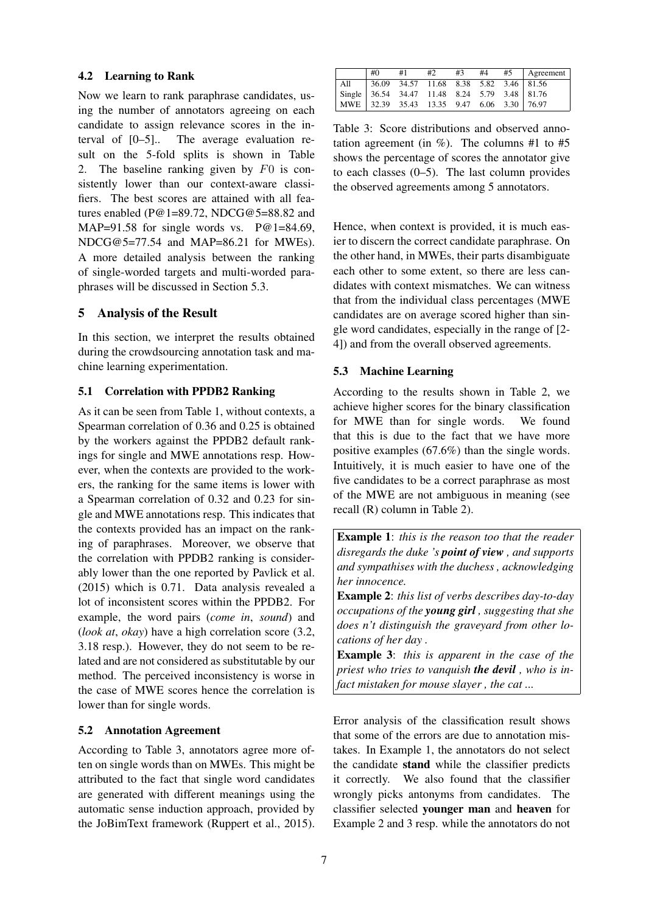## 4.2 Learning to Rank

Now we learn to rank paraphrase candidates, using the number of annotators agreeing on each candidate to assign relevance scores in the interval of [0–5].. The average evaluation result on the 5-fold splits is shown in Table 2. The baseline ranking given by F0 is consistently lower than our context-aware classifiers. The best scores are attained with all features enabled (P@1=89.72, NDCG@5=88.82 and MAP=91.58 for single words vs. P@1=84.69, NDCG@5=77.54 and MAP=86.21 for MWEs). A more detailed analysis between the ranking of single-worded targets and multi-worded paraphrases will be discussed in Section 5.3.

## 5 Analysis of the Result

In this section, we interpret the results obtained during the crowdsourcing annotation task and machine learning experimentation.

## 5.1 Correlation with PPDB2 Ranking

As it can be seen from Table 1, without contexts, a Spearman correlation of 0.36 and 0.25 is obtained by the workers against the PPDB2 default rankings for single and MWE annotations resp. However, when the contexts are provided to the workers, the ranking for the same items is lower with a Spearman correlation of 0.32 and 0.23 for single and MWE annotations resp. This indicates that the contexts provided has an impact on the ranking of paraphrases. Moreover, we observe that the correlation with PPDB2 ranking is considerably lower than the one reported by Pavlick et al. (2015) which is 0.71. Data analysis revealed a lot of inconsistent scores within the PPDB2. For example, the word pairs (*come in*, *sound*) and (*look at*, *okay*) have a high correlation score (3.2, 3.18 resp.). However, they do not seem to be related and are not considered as substitutable by our method. The perceived inconsistency is worse in the case of MWE scores hence the correlation is lower than for single words.

## 5.2 Annotation Agreement

According to Table 3, annotators agree more often on single words than on MWEs. This might be attributed to the fact that single word candidates are generated with different meanings using the automatic sense induction approach, provided by the JoBimText framework (Ruppert et al., 2015).

|                                               | #0 | #1                                             | #2 | #3 | #4 | $#5$   Agreement |
|-----------------------------------------------|----|------------------------------------------------|----|----|----|------------------|
| All                                           |    | $\vert$ 36.09 34.57 11.68 8.38 5.82 3.46 81.56 |    |    |    |                  |
| Single 36.54 34.47 11.48 8.24 5.79 3.48 81.76 |    |                                                |    |    |    |                  |
| MWE 32.39 35.43 13.35 9.47 6.06 3.30 76.97    |    |                                                |    |    |    |                  |

Table 3: Score distributions and observed annotation agreement (in  $\%$ ). The columns #1 to #5 shows the percentage of scores the annotator give to each classes (0–5). The last column provides the observed agreements among 5 annotators.

Hence, when context is provided, it is much easier to discern the correct candidate paraphrase. On the other hand, in MWEs, their parts disambiguate each other to some extent, so there are less candidates with context mismatches. We can witness that from the individual class percentages (MWE candidates are on average scored higher than single word candidates, especially in the range of [2- 4]) and from the overall observed agreements.

## 5.3 Machine Learning

According to the results shown in Table 2, we achieve higher scores for the binary classification for MWE than for single words. We found that this is due to the fact that we have more positive examples (67.6%) than the single words. Intuitively, it is much easier to have one of the five candidates to be a correct paraphrase as most of the MWE are not ambiguous in meaning (see recall (R) column in Table 2).

Example 1: *this is the reason too that the reader disregards the duke 's point of view , and supports and sympathises with the duchess , acknowledging her innocence.*

Example 2: *this list of verbs describes day-to-day occupations of the young girl , suggesting that she does n't distinguish the graveyard from other locations of her day .*

Example 3: *this is apparent in the case of the priest who tries to vanquish the devil , who is infact mistaken for mouse slayer , the cat ...*

Error analysis of the classification result shows that some of the errors are due to annotation mistakes. In Example 1, the annotators do not select the candidate stand while the classifier predicts it correctly. We also found that the classifier wrongly picks antonyms from candidates. The classifier selected younger man and heaven for Example 2 and 3 resp. while the annotators do not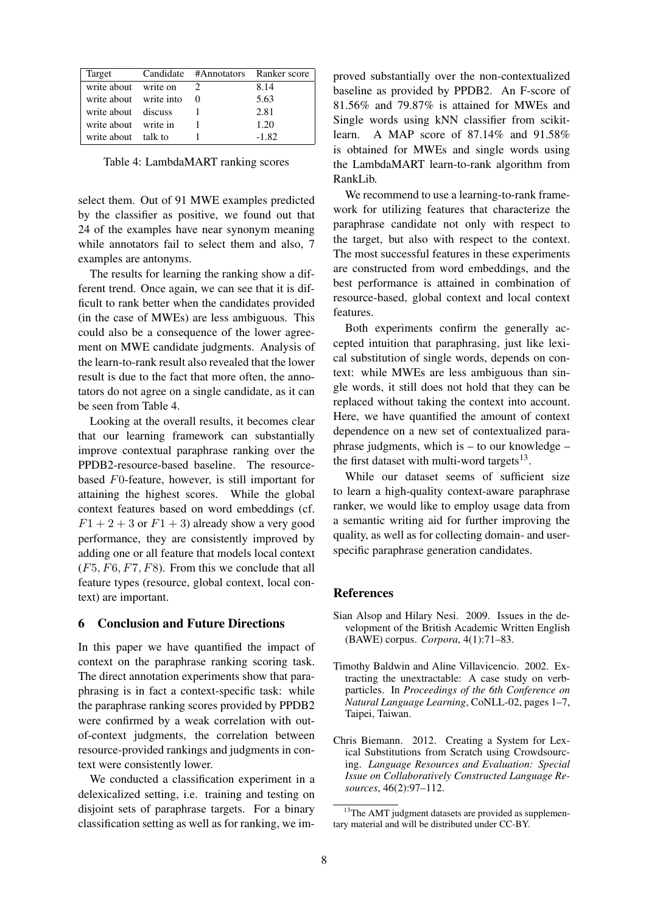| Target                     | Candidate #Annotators Ranker score |         |
|----------------------------|------------------------------------|---------|
| write about write on       |                                    | 8.14    |
| write about write into $0$ |                                    | 5.63    |
| write about discuss        |                                    | 2.81    |
| write about write in       |                                    | 1.20    |
| write about talk to        |                                    | $-1.82$ |

Table 4: LambdaMART ranking scores

select them. Out of 91 MWE examples predicted by the classifier as positive, we found out that 24 of the examples have near synonym meaning while annotators fail to select them and also, 7 examples are antonyms.

The results for learning the ranking show a different trend. Once again, we can see that it is difficult to rank better when the candidates provided (in the case of MWEs) are less ambiguous. This could also be a consequence of the lower agreement on MWE candidate judgments. Analysis of the learn-to-rank result also revealed that the lower result is due to the fact that more often, the annotators do not agree on a single candidate, as it can be seen from Table 4.

Looking at the overall results, it becomes clear that our learning framework can substantially improve contextual paraphrase ranking over the PPDB2-resource-based baseline. The resourcebased F0-feature, however, is still important for attaining the highest scores. While the global context features based on word embeddings (cf.  $F1 + 2 + 3$  or  $F1 + 3$ ) already show a very good performance, they are consistently improved by adding one or all feature that models local context  $(F5, F6, F7, F8)$ . From this we conclude that all feature types (resource, global context, local context) are important.

#### 6 Conclusion and Future Directions

In this paper we have quantified the impact of context on the paraphrase ranking scoring task. The direct annotation experiments show that paraphrasing is in fact a context-specific task: while the paraphrase ranking scores provided by PPDB2 were confirmed by a weak correlation with outof-context judgments, the correlation between resource-provided rankings and judgments in context were consistently lower.

We conducted a classification experiment in a delexicalized setting, i.e. training and testing on disjoint sets of paraphrase targets. For a binary classification setting as well as for ranking, we improved substantially over the non-contextualized baseline as provided by PPDB2. An F-score of 81.56% and 79.87% is attained for MWEs and Single words using kNN classifier from scikitlearn. A MAP score of 87.14% and 91.58% is obtained for MWEs and single words using the LambdaMART learn-to-rank algorithm from RankLib.

We recommend to use a learning-to-rank framework for utilizing features that characterize the paraphrase candidate not only with respect to the target, but also with respect to the context. The most successful features in these experiments are constructed from word embeddings, and the best performance is attained in combination of resource-based, global context and local context features.

Both experiments confirm the generally accepted intuition that paraphrasing, just like lexical substitution of single words, depends on context: while MWEs are less ambiguous than single words, it still does not hold that they can be replaced without taking the context into account. Here, we have quantified the amount of context dependence on a new set of contextualized paraphrase judgments, which is  $-$  to our knowledge  $$ the first dataset with multi-word targets $^{13}$ .

While our dataset seems of sufficient size to learn a high-quality context-aware paraphrase ranker, we would like to employ usage data from a semantic writing aid for further improving the quality, as well as for collecting domain- and userspecific paraphrase generation candidates.

#### **References**

- Sian Alsop and Hilary Nesi. 2009. Issues in the development of the British Academic Written English (BAWE) corpus. *Corpora*, 4(1):71–83.
- Timothy Baldwin and Aline Villavicencio. 2002. Extracting the unextractable: A case study on verbparticles. In *Proceedings of the 6th Conference on Natural Language Learning*, CoNLL-02, pages 1–7, Taipei, Taiwan.
- Chris Biemann. 2012. Creating a System for Lexical Substitutions from Scratch using Crowdsourcing. *Language Resources and Evaluation: Special Issue on Collaboratively Constructed Language Resources*, 46(2):97–112.

<sup>&</sup>lt;sup>13</sup>The AMT judgment datasets are provided as supplementary material and will be distributed under CC-BY.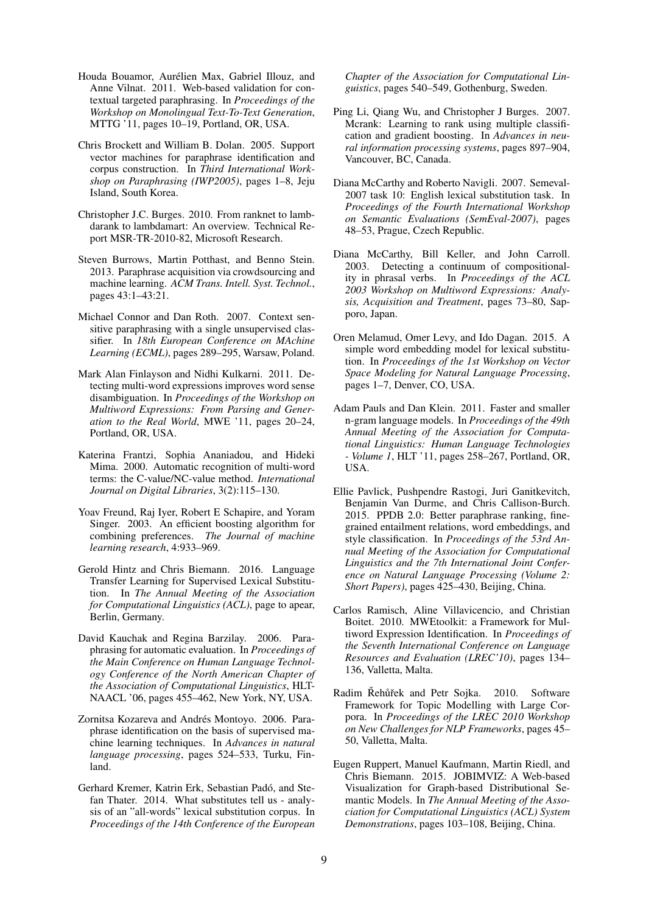- Houda Bouamor, Aurélien Max, Gabriel Illouz, and Anne Vilnat. 2011. Web-based validation for contextual targeted paraphrasing. In *Proceedings of the Workshop on Monolingual Text-To-Text Generation*, MTTG '11, pages 10–19, Portland, OR, USA.
- Chris Brockett and William B. Dolan. 2005. Support vector machines for paraphrase identification and corpus construction. In *Third International Workshop on Paraphrasing (IWP2005)*, pages 1–8, Jeju Island, South Korea.
- Christopher J.C. Burges. 2010. From ranknet to lambdarank to lambdamart: An overview. Technical Report MSR-TR-2010-82, Microsoft Research.
- Steven Burrows, Martin Potthast, and Benno Stein. 2013. Paraphrase acquisition via crowdsourcing and machine learning. *ACM Trans. Intell. Syst. Technol.*, pages 43:1–43:21.
- Michael Connor and Dan Roth. 2007. Context sensitive paraphrasing with a single unsupervised classifier. In *18th European Conference on MAchine Learning (ECML)*, pages 289–295, Warsaw, Poland.
- Mark Alan Finlayson and Nidhi Kulkarni. 2011. Detecting multi-word expressions improves word sense disambiguation. In *Proceedings of the Workshop on Multiword Expressions: From Parsing and Generation to the Real World*, MWE '11, pages 20–24, Portland, OR, USA.
- Katerina Frantzi, Sophia Ananiadou, and Hideki Mima. 2000. Automatic recognition of multi-word terms: the C-value/NC-value method. *International Journal on Digital Libraries*, 3(2):115–130.
- Yoav Freund, Raj Iyer, Robert E Schapire, and Yoram Singer. 2003. An efficient boosting algorithm for combining preferences. *The Journal of machine learning research*, 4:933–969.
- Gerold Hintz and Chris Biemann. 2016. Language Transfer Learning for Supervised Lexical Substitution. In *The Annual Meeting of the Association for Computational Linguistics (ACL)*, page to apear, Berlin, Germany.
- David Kauchak and Regina Barzilay. 2006. Paraphrasing for automatic evaluation. In *Proceedings of the Main Conference on Human Language Technology Conference of the North American Chapter of the Association of Computational Linguistics*, HLT-NAACL '06, pages 455–462, New York, NY, USA.
- Zornitsa Kozareva and Andrés Montoyo. 2006. Paraphrase identification on the basis of supervised machine learning techniques. In *Advances in natural language processing*, pages 524–533, Turku, Finland.
- Gerhard Kremer, Katrin Erk, Sebastian Padó, and Stefan Thater. 2014. What substitutes tell us - analysis of an "all-words" lexical substitution corpus. In *Proceedings of the 14th Conference of the European*

*Chapter of the Association for Computational Linguistics*, pages 540–549, Gothenburg, Sweden.

- Ping Li, Qiang Wu, and Christopher J Burges. 2007. Mcrank: Learning to rank using multiple classification and gradient boosting. In *Advances in neural information processing systems*, pages 897–904, Vancouver, BC, Canada.
- Diana McCarthy and Roberto Navigli. 2007. Semeval-2007 task 10: English lexical substitution task. In *Proceedings of the Fourth International Workshop on Semantic Evaluations (SemEval-2007)*, pages 48–53, Prague, Czech Republic.
- Diana McCarthy, Bill Keller, and John Carroll. 2003. Detecting a continuum of compositionality in phrasal verbs. In *Proceedings of the ACL 2003 Workshop on Multiword Expressions: Analysis, Acquisition and Treatment*, pages 73–80, Sapporo, Japan.
- Oren Melamud, Omer Levy, and Ido Dagan. 2015. A simple word embedding model for lexical substitution. In *Proceedings of the 1st Workshop on Vector Space Modeling for Natural Language Processing*, pages 1–7, Denver, CO, USA.
- Adam Pauls and Dan Klein. 2011. Faster and smaller n-gram language models. In *Proceedings of the 49th Annual Meeting of the Association for Computational Linguistics: Human Language Technologies - Volume 1*, HLT '11, pages 258–267, Portland, OR, USA.
- Ellie Pavlick, Pushpendre Rastogi, Juri Ganitkevitch, Benjamin Van Durme, and Chris Callison-Burch. 2015. PPDB 2.0: Better paraphrase ranking, finegrained entailment relations, word embeddings, and style classification. In *Proceedings of the 53rd Annual Meeting of the Association for Computational Linguistics and the 7th International Joint Conference on Natural Language Processing (Volume 2: Short Papers)*, pages 425–430, Beijing, China.
- Carlos Ramisch, Aline Villavicencio, and Christian Boitet. 2010. MWEtoolkit: a Framework for Multiword Expression Identification. In *Proceedings of the Seventh International Conference on Language Resources and Evaluation (LREC'10)*, pages 134– 136, Valletta, Malta.
- Radim Řehůřek and Petr Sojka. 2010. Software Framework for Topic Modelling with Large Corpora. In *Proceedings of the LREC 2010 Workshop on New Challenges for NLP Frameworks*, pages 45– 50, Valletta, Malta.
- Eugen Ruppert, Manuel Kaufmann, Martin Riedl, and Chris Biemann. 2015. JOBIMVIZ: A Web-based Visualization for Graph-based Distributional Semantic Models. In *The Annual Meeting of the Association for Computational Linguistics (ACL) System Demonstrations*, pages 103–108, Beijing, China.